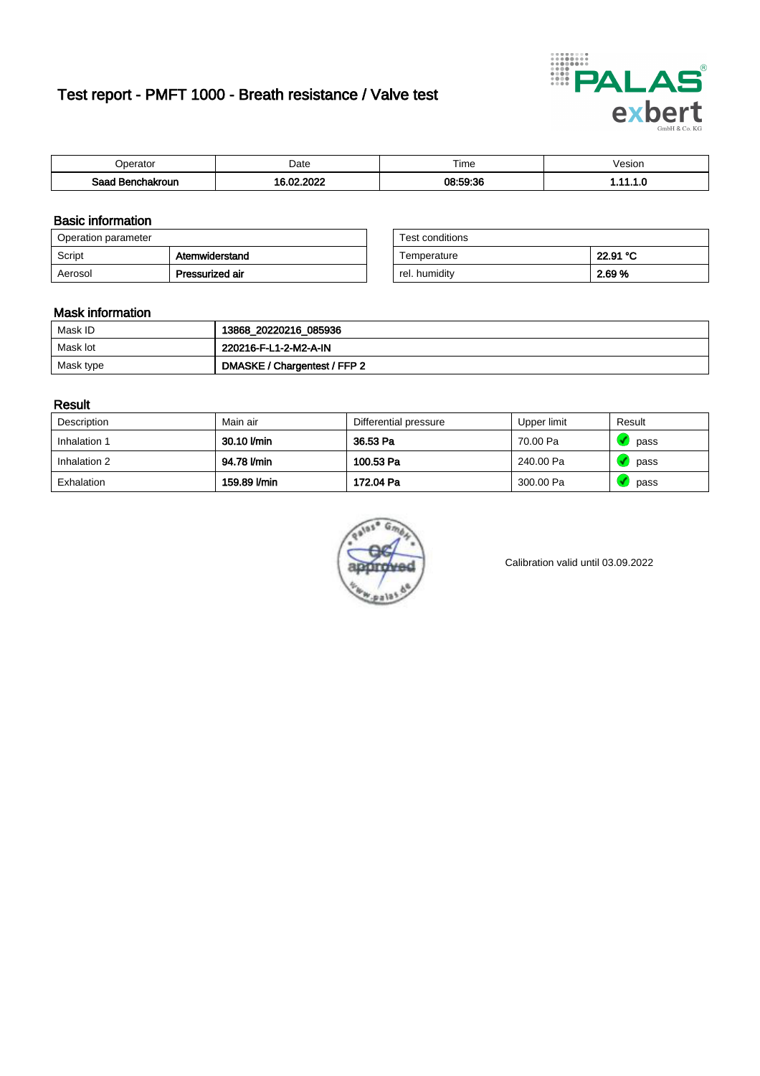# Test report - PMFT 1000 - Breath resistance / Valve test



| )perator               | Date                                      | $- \cdot$<br>Гіmе | esion |
|------------------------|-------------------------------------------|-------------------|-------|
| המס<br>hakroun<br>32 H | 000<br>$\sim$ 00 $\sim$<br>. .<br>л.<br>. | 08:59:36          | .     |

### Basic information

| Operation parameter |                 | Test conditions |          |
|---------------------|-----------------|-----------------|----------|
| Script              | Atemwiderstand  | Temperature     | 22.91 °C |
| Aerosol             | Pressurized air | rel. humidity   | 2.69 %   |

| Test conditions |          |
|-----------------|----------|
| Temperature     | 22.91 °C |
| rel. humidity   | 2.69%    |

### Mask information

| Mask ID   | 13868_20220216_085936        |
|-----------|------------------------------|
| Mask lot  | 220216-F-L1-2-M2-A-IN        |
| Mask type | DMASKE / Chargentest / FFP 2 |

### Result

| Description  | Main air     | Differential pressure | Upper limit | Result |
|--------------|--------------|-----------------------|-------------|--------|
| Inhalation 1 | 30.10 l/min  | 36.53 Pa              | 70.00 Pa    | pass   |
| Inhalation 2 | 94.78 l/min  | 100.53 Pa             | 240.00 Pa   | pass   |
| Exhalation   | 159.89 l/min | 172.04 Pa             | 300.00 Pa   | pass   |



Calibration valid until 03.09.2022